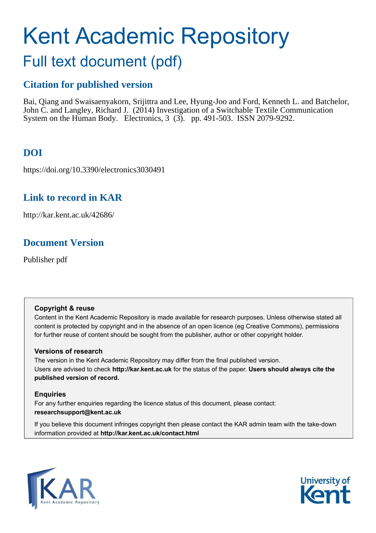# Kent Academic Repository

## Full text document (pdf)

## **Citation for published version**

Bai, Qiang and Swaisaenyakorn, Srijittra and Lee, Hyung-Joo and Ford, Kenneth L. and Batchelor, John C. and Langley, Richard J. (2014) Investigation of a Switchable Textile Communication System on the Human Body. Electronics, 3 (3). pp. 491-503. ISSN 2079-9292.

## **DOI**

https://doi.org/10.3390/electronics3030491

## **Link to record in KAR**

http://kar.kent.ac.uk/42686/

## **Document Version**

Publisher pdf

#### **Copyright & reuse**

Content in the Kent Academic Repository is made available for research purposes. Unless otherwise stated all content is protected by copyright and in the absence of an open licence (eg Creative Commons), permissions for further reuse of content should be sought from the publisher, author or other copyright holder.

#### **Versions of research**

The version in the Kent Academic Repository may differ from the final published version. Users are advised to check **http://kar.kent.ac.uk** for the status of the paper. **Users should always cite the published version of record.**

#### **Enquiries**

For any further enquiries regarding the licence status of this document, please contact: **researchsupport@kent.ac.uk**

If you believe this document infringes copyright then please contact the KAR admin team with the take-down information provided at **http://kar.kent.ac.uk/contact.html**



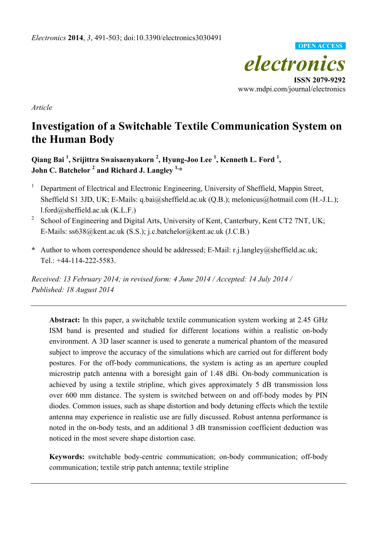

*Article*

## **Investigation of a Switchable Textile Communication System on the Human Body**

**Qiang Bai <sup>1</sup> , Srijittra Swaisaenyakorn <sup>2</sup> , Hyung-Joo Lee <sup>1</sup> , Kenneth L. Ford <sup>1</sup> , John C. Batchelor <sup>2</sup> and Richard J. Langley 1,\*** 

- 1 Department of Electrical and Electronic Engineering, University of Sheffield, Mappin Street, Sheffield S1 3JD, UK; E-Mails: q.bai@sheffield.ac.uk (Q.B.); melonicus@hotmail.com (H.-J.L.); l.ford@sheffield.ac.uk (K.L.F.)
- 2 School of Engineering and Digital Arts, University of Kent, Canterbury, Kent CT2 7NT, UK; E-Mails: ss638@kent.ac.uk (S.S.); j.c.batchelor@kent.ac.uk (J.C.B.)
- **\*** Author to whom correspondence should be addressed; E-Mail: r.j.langley@sheffield.ac.uk; Tel.: +44-114-222-5583.

*Received: 13 February 2014; in revised form: 4 June 2014 / Accepted: 14 July 2014 / Published: 18 August 2014* 

**Abstract:** In this paper, a switchable textile communication system working at 2.45 GHz ISM band is presented and studied for different locations within a realistic on-body environment. A 3D laser scanner is used to generate a numerical phantom of the measured subject to improve the accuracy of the simulations which are carried out for different body postures. For the off-body communications, the system is acting as an aperture coupled microstrip patch antenna with a boresight gain of 1.48 dBi. On-body communication is achieved by using a textile stripline, which gives approximately 5 dB transmission loss over 600 mm distance. The system is switched between on and off-body modes by PIN diodes. Common issues, such as shape distortion and body detuning effects which the textile antenna may experience in realistic use are fully discussed. Robust antenna performance is noted in the on-body tests, and an additional 3 dB transmission coefficient deduction was noticed in the most severe shape distortion case.

**Keywords:** switchable body-centric communication; on-body communication; off-body communication; textile strip patch antenna; textile stripline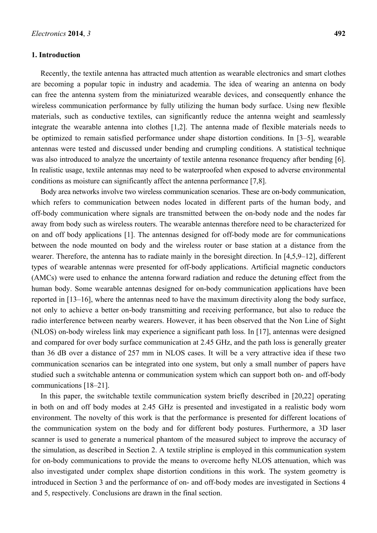#### **1. Introduction**

Recently, the textile antenna has attracted much attention as wearable electronics and smart clothes are becoming a popular topic in industry and academia. The idea of wearing an antenna on body can free the antenna system from the miniaturized wearable devices, and consequently enhance the wireless communication performance by fully utilizing the human body surface. Using new flexible materials, such as conductive textiles, can significantly reduce the antenna weight and seamlessly integrate the wearable antenna into clothes [1,2]. The antenna made of flexible materials needs to be optimized to remain satisfied performance under shape distortion conditions. In  $[3-5]$ , wearable antennas were tested and discussed under bending and crumpling conditions. A statistical technique was also introduced to analyze the uncertainty of textile antenna resonance frequency after bending [6]. In realistic usage, textile antennas may need to be waterproofed when exposed to adverse environmental conditions as moisture can significantly affect the antenna performance [7,8].

Body area networks involve two wireless communication scenarios. These are on-body communication, which refers to communication between nodes located in different parts of the human body, and off-body communication where signals are transmitted between the on-body node and the nodes far away from body such as wireless routers. The wearable antennas therefore need to be characterized for on and off body applications [1]. The antennas designed for off-body mode are for communications between the node mounted on body and the wireless router or base station at a distance from the wearer. Therefore, the antenna has to radiate mainly in the boresight direction. In  $[4,5,9-12]$ , different types of wearable antennas were presented for off-body applications. Artificial magnetic conductors (AMCs) were used to enhance the antenna forward radiation and reduce the detuning effect from the human body. Some wearable antennas designed for on-body communication applications have been reported in [13–16], where the antennas need to have the maximum directivity along the body surface, not only to achieve a better on-body transmitting and receiving performance, but also to reduce the radio interference between nearby wearers. However, it has been observed that the Non Line of Sight (NLOS) on-body wireless link may experience a significant path loss. In [17], antennas were designed and compared for over body surface communication at 2.45 GHz, and the path loss is generally greater than 36 dB over a distance of 257 mm in NLOS cases. It will be a very attractive idea if these two communication scenarios can be integrated into one system, but only a small number of papers have studied such a switchable antenna or communication system which can support both on- and off-body communications  $[18-21]$ .

In this paper, the switchable textile communication system briefly described in [20,22] operating in both on and off body modes at 2.45 GHz is presented and investigated in a realistic body worn environment. The novelty of this work is that the performance is presented for different locations of the communication system on the body and for different body postures. Furthermore, a 3D laser scanner is used to generate a numerical phantom of the measured subject to improve the accuracy of the simulation, as described in Section 2. A textile stripline is employed in this communication system for on-body communications to provide the means to overcome hefty NLOS attenuation, which was also investigated under complex shape distortion conditions in this work. The system geometry is introduced in Section 3 and the performance of on- and off-body modes are investigated in Sections 4 and 5, respectively. Conclusions are drawn in the final section.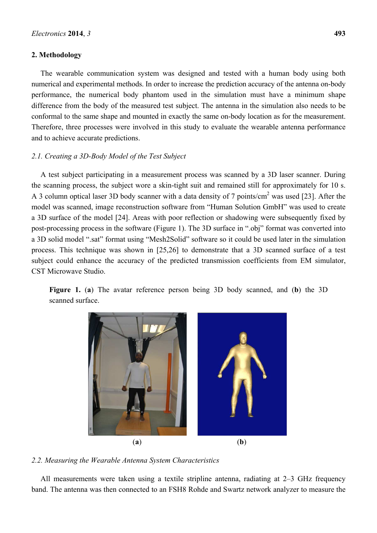#### **2. Methodology**

The wearable communication system was designed and tested with a human body using both numerical and experimental methods. In order to increase the prediction accuracy of the antenna on-body performance, the numerical body phantom used in the simulation must have a minimum shape difference from the body of the measured test subject. The antenna in the simulation also needs to be conformal to the same shape and mounted in exactly the same on-body location as for the measurement. Therefore, three processes were involved in this study to evaluate the wearable antenna performance and to achieve accurate predictions.

#### *2.1. Creating a 3D-Body Model of the Test Subject*

A test subject participating in a measurement process was scanned by a 3D laser scanner. During the scanning process, the subject wore a skin-tight suit and remained still for approximately for 10 s. A 3 column optical laser 3D body scanner with a data density of 7 points/cm<sup>2</sup> was used [23]. After the model was scanned, image reconstruction software from "Human Solution GmbH" was used to create a 3D surface of the model [24]. Areas with poor reflection or shadowing were subsequently fixed by post-processing process in the software (Figure 1). The 3D surface in ".obj" format was converted into a 3D solid model ".sat" format using "Mesh2Solid" software so it could be used later in the simulation process. This technique was shown in [25,26] to demonstrate that a 3D scanned surface of a test subject could enhance the accuracy of the predicted transmission coefficients from EM simulator, CST Microwave Studio.

**Figure 1.** (**a**) The avatar reference person being 3D body scanned, and (**b**) the 3D scanned surface.



*2.2. Measuring the Wearable Antenna System Characteristics* 

All measurements were taken using a textile stripline antenna, radiating at  $2-3$  GHz frequency band. The antenna was then connected to an FSH8 Rohde and Swartz network analyzer to measure the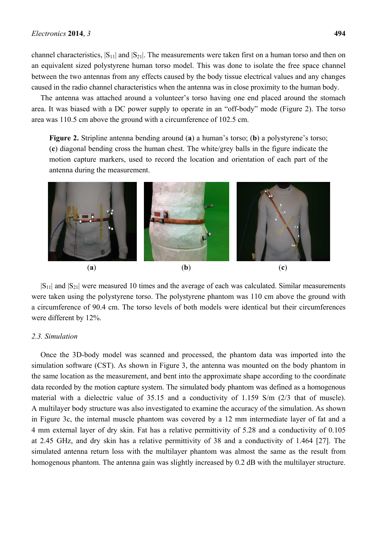channel characteristics,  $|S_{11}|$  and  $|S_{21}|$ . The measurements were taken first on a human torso and then on an equivalent sized polystyrene human torso model. This was done to isolate the free space channel between the two antennas from any effects caused by the body tissue electrical values and any changes caused in the radio channel characteristics when the antenna was in close proximity to the human body.

The antenna was attached around a volunteer's torso having one end placed around the stomach area. It was biased with a DC power supply to operate in an "off-body" mode (Figure 2). The torso area was 110.5 cm above the ground with a circumference of 102.5 cm.

**Figure 2.** Stripline antenna bending around (**a**) a human's torso; (**b**) a polystyrene's torso; (**c**) diagonal bending cross the human chest. The white/grey balls in the figure indicate the motion capture markers, used to record the location and orientation of each part of the antenna during the measurement.



 $|S_{11}|$  and  $|S_{21}|$  were measured 10 times and the average of each was calculated. Similar measurements were taken using the polystyrene torso. The polystyrene phantom was 110 cm above the ground with a circumference of 90.4 cm. The torso levels of both models were identical but their circumferences were different by 12%.

#### *2.3. Simulation*

Once the 3D-body model was scanned and processed, the phantom data was imported into the simulation software (CST). As shown in Figure 3, the antenna was mounted on the body phantom in the same location as the measurement, and bent into the approximate shape according to the coordinate data recorded by the motion capture system. The simulated body phantom was defined as a homogenous material with a dielectric value of 35.15 and a conductivity of 1.159 S/m (2/3 that of muscle). A multilayer body structure was also investigated to examine the accuracy of the simulation. As shown in Figure 3c, the internal muscle phantom was covered by a 12 mm intermediate layer of fat and a 4 mm external layer of dry skin. Fat has a relative permittivity of 5.28 and a conductivity of 0.105 at 2.45 GHz, and dry skin has a relative permittivity of 38 and a conductivity of 1.464 [27]. The simulated antenna return loss with the multilayer phantom was almost the same as the result from homogenous phantom. The antenna gain was slightly increased by 0.2 dB with the multilayer structure.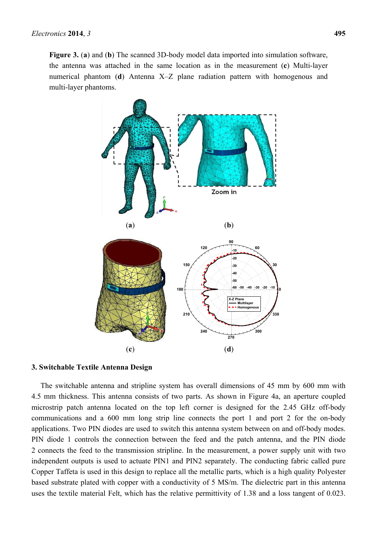**Figure 3.** (**a**) and (**b**) The scanned 3D-body model data imported into simulation software, the antenna was attached in the same location as in the measurement (**c**) Multi-layer numerical phantom (**d**) Antenna X-Z plane radiation pattern with homogenous and multi-layer phantoms.





#### **3. Switchable Textile Antenna Design**

The switchable antenna and stripline system has overall dimensions of 45 mm by 600 mm with 4.5 mm thickness. This antenna consists of two parts. As shown in Figure 4a, an aperture coupled microstrip patch antenna located on the top left corner is designed for the 2.45 GHz off-body communications and a 600 mm long strip line connects the port 1 and port 2 for the on-body applications. Two PIN diodes are used to switch this antenna system between on and off-body modes. PIN diode 1 controls the connection between the feed and the patch antenna, and the PIN diode 2 connects the feed to the transmission stripline. In the measurement, a power supply unit with two independent outputs is used to actuate PIN1 and PIN2 separately. The conducting fabric called pure Copper Taffeta is used in this design to replace all the metallic parts, which is a high quality Polyester based substrate plated with copper with a conductivity of 5 MS/m. The dielectric part in this antenna uses the textile material Felt, which has the relative permittivity of 1.38 and a loss tangent of 0.023.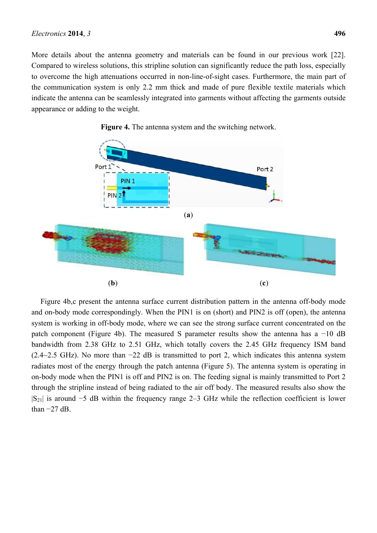More details about the antenna geometry and materials can be found in our previous work [22]. Compared to wireless solutions, this stripline solution can significantly reduce the path loss, especially to overcome the high attenuations occurred in non-line-of-sight cases. Furthermore, the main part of the communication system is only 2.2 mm thick and made of pure flexible textile materials which indicate the antenna can be seamlessly integrated into garments without affecting the garments outside appearance or adding to the weight.



**Figure 4.** The antenna system and the switching network.

Figure 4b,c present the antenna surface current distribution pattern in the antenna off-body mode and on-body mode correspondingly. When the PIN1 is on (short) and PIN2 is off (open), the antenna system is working in off-body mode, where we can see the strong surface current concentrated on the patch component (Figure 4b). The measured S parameter results show the antenna has a −10 dB bandwidth from 2.38 GHz to 2.51 GHz, which totally covers the 2.45 GHz frequency ISM band (2.4~2.5 GHz). No more than −22 dB is transmitted to port 2, which indicates this antenna system radiates most of the energy through the patch antenna (Figure 5). The antenna system is operating in on-body mode when the PIN1 is off and PIN2 is on. The feeding signal is mainly transmitted to Port 2 through the stripline instead of being radiated to the air off body. The measured results also show the  $|S_{21}|$  is around −5 dB within the frequency range 2–3 GHz while the reflection coefficient is lower than −27 dB.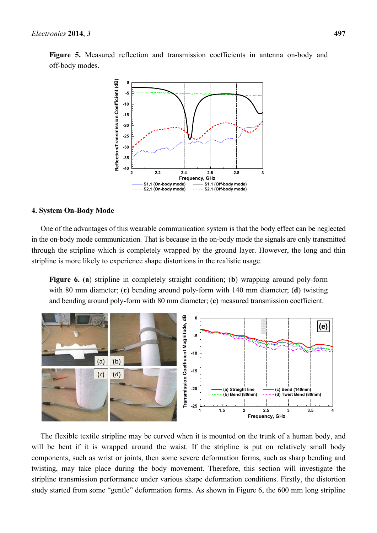**Figure 5.** Measured reflection and transmission coefficients in antenna on-body and off-body modes.



#### **4. System On-Body Mode**

One of the advantages of this wearable communication system is that the body effect can be neglected in the on-body mode communication. That is because in the on-body mode the signals are only transmitted through the stripline which is completely wrapped by the ground layer. However, the long and thin stripline is more likely to experience shape distortions in the realistic usage.

**Figure 6.** (**a**) stripline in completely straight condition; (**b**) wrapping around poly-form with 80 mm diameter; (**c**) bending around poly-form with 140 mm diameter; (**d**) twisting and bending around poly-form with 80 mm diameter; (**e**) measured transmission coefficient.



The flexible textile stripline may be curved when it is mounted on the trunk of a human body, and will be bent if it is wrapped around the waist. If the stripline is put on relatively small body components, such as wrist or joints, then some severe deformation forms, such as sharp bending and twisting, may take place during the body movement. Therefore, this section will investigate the stripline transmission performance under various shape deformation conditions. Firstly, the distortion study started from some "gentle" deformation forms. As shown in Figure 6, the 600 mm long stripline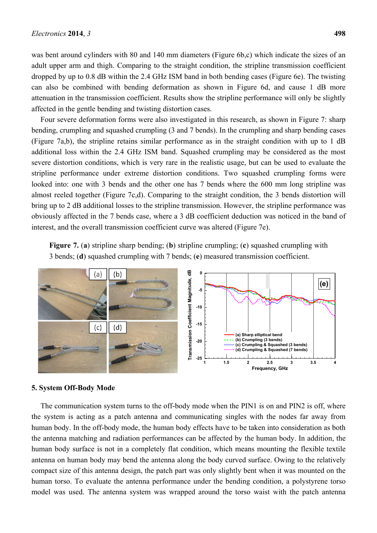was bent around cylinders with 80 and 140 mm diameters (Figure 6b,c) which indicate the sizes of an adult upper arm and thigh. Comparing to the straight condition, the stripline transmission coefficient dropped by up to 0.8 dB within the 2.4 GHz ISM band in both bending cases (Figure 6e). The twisting can also be combined with bending deformation as shown in Figure 6d, and cause 1 dB more attenuation in the transmission coefficient. Results show the stripline performance will only be slightly affected in the gentle bending and twisting distortion cases.

Four severe deformation forms were also investigated in this research, as shown in Figure 7: sharp bending, crumpling and squashed crumpling (3 and 7 bends). In the crumpling and sharp bending cases (Figure 7a,b), the stripline retains similar performance as in the straight condition with up to 1 dB additional loss within the 2.4 GHz ISM band. Squashed crumpling may be considered as the most severe distortion conditions, which is very rare in the realistic usage, but can be used to evaluate the stripline performance under extreme distortion conditions. Two squashed crumpling forms were looked into: one with 3 bends and the other one has 7 bends where the 600 mm long stripline was almost reeled together (Figure 7c,d). Comparing to the straight condition, the 3 bends distortion will bring up to 2 dB additional losses to the stripline transmission. However, the stripline performance was obviously affected in the 7 bends case, where a 3 dB coefficient deduction was noticed in the band of interest, and the overall transmission coefficient curve was altered (Figure 7e).

**Figure 7.** (**a**) stripline sharp bending; (**b**) stripline crumpling; (**c**) squashed crumpling with 3 bends; (**d**) squashed crumpling with 7 bends; (**e**) measured transmission coefficient.



#### **5. System Off-Body Mode**

The communication system turns to the off-body mode when the PIN1 is on and PIN2 is off, where the system is acting as a patch antenna and communicating singles with the nodes far away from human body. In the off-body mode, the human body effects have to be taken into consideration as both the antenna matching and radiation performances can be affected by the human body. In addition, the human body surface is not in a completely flat condition, which means mounting the flexible textile antenna on human body may bend the antenna along the body curved surface. Owing to the relatively compact size of this antenna design, the patch part was only slightly bent when it was mounted on the human torso. To evaluate the antenna performance under the bending condition, a polystyrene torso model was used. The antenna system was wrapped around the torso waist with the patch antenna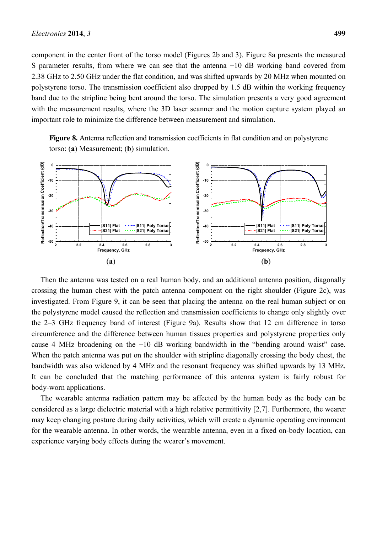component in the center front of the torso model (Figures 2b and 3). Figure 8a presents the measured S parameter results, from where we can see that the antenna −10 dB working band covered from 2.38 GHz to 2.50 GHz under the flat condition, and was shifted upwards by 20 MHz when mounted on polystyrene torso. The transmission coefficient also dropped by 1.5 dB within the working frequency band due to the stripline being bent around the torso. The simulation presents a very good agreement with the measurement results, where the 3D laser scanner and the motion capture system played an important role to minimize the difference between measurement and simulation.

**Figure 8.** Antenna reflection and transmission coefficients in flat condition and on polystyrene torso: (**a**) Measurement; (**b**) simulation.



Then the antenna was tested on a real human body, and an additional antenna position, diagonally crossing the human chest with the patch antenna component on the right shoulder (Figure 2c), was investigated. From Figure 9, it can be seen that placing the antenna on the real human subject or on the polystyrene model caused the reflection and transmission coefficients to change only slightly over the  $2-3$  GHz frequency band of interest (Figure 9a). Results show that 12 cm difference in torso circumference and the difference between human tissues properties and polystyrene properties only cause 4 MHz broadening on the −10 dB working bandwidth in the "bending around waist" case. When the patch antenna was put on the shoulder with stripline diagonally crossing the body chest, the bandwidth was also widened by 4 MHz and the resonant frequency was shifted upwards by 13 MHz. It can be concluded that the matching performance of this antenna system is fairly robust for body-worn applications.

The wearable antenna radiation pattern may be affected by the human body as the body can be considered as a large dielectric material with a high relative permittivity [2,7]. Furthermore, the wearer may keep changing posture during daily activities, which will create a dynamic operating environment for the wearable antenna. In other words, the wearable antenna, even in a fixed on-body location, can experience varying body effects during the wearer's movement.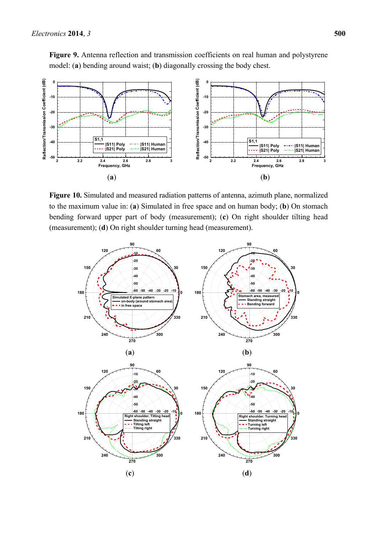

**Figure 10.** Simulated and measured radiation patterns of antenna, azimuth plane, normalized to the maximum value in: (**a**) Simulated in free space and on human body; (**b**) On stomach bending forward upper part of body (measurement); (**c**) On right shoulder tilting head (measurement); (**d**) On right shoulder turning head (measurement).

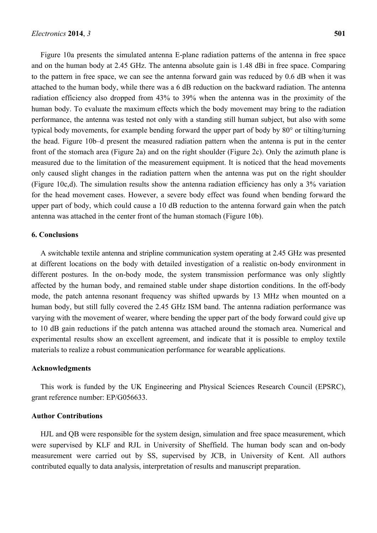Figure 10a presents the simulated antenna E-plane radiation patterns of the antenna in free space and on the human body at 2.45 GHz. The antenna absolute gain is 1.48 dBi in free space. Comparing to the pattern in free space, we can see the antenna forward gain was reduced by 0.6 dB when it was attached to the human body, while there was a 6 dB reduction on the backward radiation. The antenna radiation efficiency also dropped from 43% to 39% when the antenna was in the proximity of the human body. To evaluate the maximum effects which the body movement may bring to the radiation performance, the antenna was tested not only with a standing still human subject, but also with some typical body movements, for example bending forward the upper part of body by 80° or tilting/turning the head. Figure 10b-d present the measured radiation pattern when the antenna is put in the center front of the stomach area (Figure 2a) and on the right shoulder (Figure 2c). Only the azimuth plane is measured due to the limitation of the measurement equipment. It is noticed that the head movements only caused slight changes in the radiation pattern when the antenna was put on the right shoulder (Figure 10c,d). The simulation results show the antenna radiation efficiency has only a 3% variation for the head movement cases. However, a severe body effect was found when bending forward the upper part of body, which could cause a 10 dB reduction to the antenna forward gain when the patch antenna was attached in the center front of the human stomach (Figure 10b).

#### **6. Conclusions**

A switchable textile antenna and stripline communication system operating at 2.45 GHz was presented at different locations on the body with detailed investigation of a realistic on-body environment in different postures. In the on-body mode, the system transmission performance was only slightly affected by the human body, and remained stable under shape distortion conditions. In the off-body mode, the patch antenna resonant frequency was shifted upwards by 13 MHz when mounted on a human body, but still fully covered the 2.45 GHz ISM band. The antenna radiation performance was varying with the movement of wearer, where bending the upper part of the body forward could give up to 10 dB gain reductions if the patch antenna was attached around the stomach area. Numerical and experimental results show an excellent agreement, and indicate that it is possible to employ textile materials to realize a robust communication performance for wearable applications.

#### **Acknowledgments**

This work is funded by the UK Engineering and Physical Sciences Research Council (EPSRC), grant reference number: EP/G056633.

#### **Author Contributions**

HJL and QB were responsible for the system design, simulation and free space measurement, which were supervised by KLF and RJL in University of Sheffield. The human body scan and on-body measurement were carried out by SS, supervised by JCB, in University of Kent. All authors contributed equally to data analysis, interpretation of results and manuscript preparation.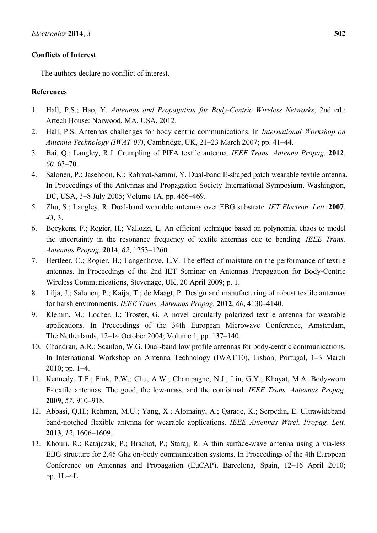#### **Conflicts of Interest**

The authors declare no conflict of interest.

#### **References**

- 1. Hall, P.S.; Hao, Y. *Antennas and Propagation for Body-Centric Wireless Networks*, 2nd ed.; Artech House: Norwood, MA, USA, 2012.
- 2. Hall, P.S. Antennas challenges for body centric communications. In *International Workshop on Antenna Technology (IWAT'07)*, Cambridge, UK, 21–23 March 2007; pp. 41–44.
- 3. Bai, Q.; Langley, R.J. Crumpling of PIFA textile antenna. *IEEE Trans. Antenna Propag.* **2012**, *60*, 63–70.
- 4. Salonen, P.; Jasehoon, K.; Rahmat-Sammi, Y. Dual-band E-shaped patch wearable textile antenna. In Proceedings of the Antennas and Propagation Society International Symposium, Washington, DC, USA, 3–8 July 2005; Volume 1A, pp. 466–469.
- 5. Zhu, S.; Langley, R. Dual-band wearable antennas over EBG substrate. *IET Electron. Lett.* **2007**, *43*, 3.
- 6. Boeykens, F.; Rogier, H.; Vallozzi, L. An efficient technique based on polynomial chaos to model the uncertainty in the resonance frequency of textile antennas due to bending. *IEEE Trans. Antennas Propag.* **2014**, *62*, 1253-1260.
- 7. Hertleer, C.; Rogier, H.; Langenhove, L.V. The effect of moisture on the performance of textile antennas. In Proceedings of the 2nd IET Seminar on Antennas Propagation for Body-Centric Wireless Communications, Stevenage, UK, 20 April 2009; p. 1.
- 8. Lilja, J.; Salonen, P.; Kaija, T.; de Maagt, P. Design and manufacturing of robust textile antennas for harsh environments. *IEEE Trans. Antennas Propag.* 2012, 60, 4130-4140.
- 9. Klemm, M.; Locher, I.; Troster, G. A novel circularly polarized textile antenna for wearable applications. In Proceedings of the 34th European Microwave Conference, Amsterdam, The Netherlands,  $12-14$  October 2004; Volume 1, pp. 137–140.
- 10. Chandran, A.R.; Scanlon, W.G. Dual-band low profile antennas for body-centric communications. In International Workshop on Antenna Technology (IWAT'10), Lisbon, Portugal, 1–3 March  $2010$ ; pp. 1–4.
- 11. Kennedy, T.F.; Fink, P.W.; Chu, A.W.; Champagne, N.J.; Lin, G.Y.; Khayat, M.A. Body-worn E-textile antennas: The good, the low-mass, and the conformal. *IEEE Trans. Antennas Propag.* **2009**, 57, 910-918.
- 12. Abbasi, Q.H.; Rehman, M.U.; Yang, X.; Alomainy, A.; Qaraqe, K.; Serpedin, E. Ultrawideband band-notched flexible antenna for wearable applications. *IEEE Antennas Wirel. Propag. Lett.* **2013**, *12*, 1606-1609.
- 13. Khouri, R.; Ratajczak, P.; Brachat, P.; Staraj, R. A thin surface-wave antenna using a via-less EBG structure for 2.45 Ghz on-body communication systems. In Proceedings of the 4th European Conference on Antennas and Propagation (EuCAP), Barcelona, Spain, 12–16 April 2010; pp.  $1L-4L$ .